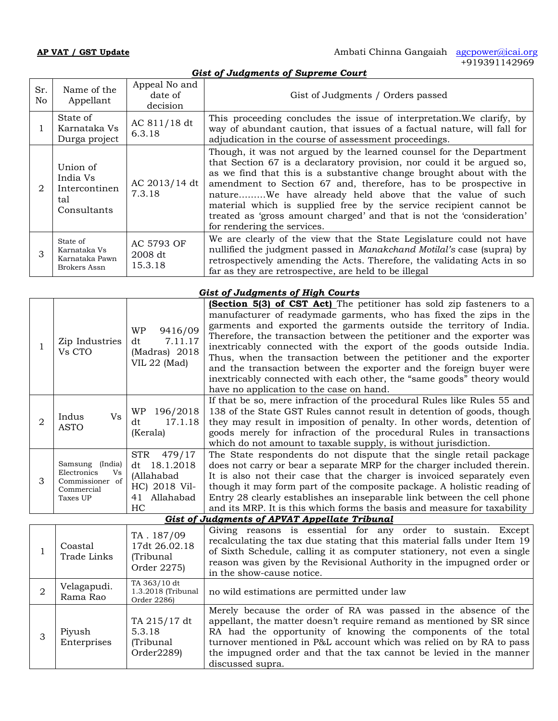| Sr.<br>No.                  | Name of the<br>Appellant                                    | Appeal No and<br>date of<br>decision | Gist of Judgments / Orders passed                                                                                                                                                                                                                                                                                                                                                                                                                                                                                                 |
|-----------------------------|-------------------------------------------------------------|--------------------------------------|-----------------------------------------------------------------------------------------------------------------------------------------------------------------------------------------------------------------------------------------------------------------------------------------------------------------------------------------------------------------------------------------------------------------------------------------------------------------------------------------------------------------------------------|
|                             | State of<br>Karnataka Vs<br>Durga project                   | AC 811/18 dt<br>6.3.18               | This proceeding concludes the issue of interpretation. We clarify, by<br>way of abundant caution, that issues of a factual nature, will fall for<br>adjudication in the course of assessment proceedings.                                                                                                                                                                                                                                                                                                                         |
| $\mathcal{D}_{\mathcal{L}}$ | Union of<br>India Vs<br>Intercontinen<br>tal<br>Consultants | AC 2013/14 dt<br>7.3.18              | Though, it was not argued by the learned counsel for the Department<br>that Section 67 is a declaratory provision, nor could it be argued so,<br>as we find that this is a substantive change brought about with the<br>amendment to Section 67 and, therefore, has to be prospective in<br>natureWe have already held above that the value of such<br>material which is supplied free by the service recipient cannot be<br>treated as 'gross amount charged' and that is not the 'consideration'<br>for rendering the services. |
|                             | State of<br>Karnataka Vs<br>Karnataka Pawn<br>Brokers Assn  | AC 5793 OF<br>2008 dt<br>15.3.18     | We are clearly of the view that the State Legislature could not have<br>nullified the judgment passed in <i>Manakchand Motilal's</i> case (supra) by<br>retrospectively amending the Acts. Therefore, the validating Acts in so<br>far as they are retrospective, are held to be illegal                                                                                                                                                                                                                                          |

## *Gist of Judgments of High Courts*

| Zip Industries<br>Vs CTO                                                          | 9416/09<br><b>WP</b><br>7.11.17<br>dt<br>(Madras) 2018<br>VIL 22 (Mad)                     | (Section 5(3) of CST Act) The petitioner has sold zip fasteners to a<br>manufacturer of readymade garments, who has fixed the zips in the<br>garments and exported the garments outside the territory of India.<br>Therefore, the transaction between the petitioner and the exporter was<br>inextricably connected with the export of the goods outside India.<br>Thus, when the transaction between the petitioner and the exporter<br>and the transaction between the exporter and the foreign buyer were<br>inextricably connected with each other, the "same goods" theory would<br>have no application to the case on hand. |  |
|-----------------------------------------------------------------------------------|--------------------------------------------------------------------------------------------|-----------------------------------------------------------------------------------------------------------------------------------------------------------------------------------------------------------------------------------------------------------------------------------------------------------------------------------------------------------------------------------------------------------------------------------------------------------------------------------------------------------------------------------------------------------------------------------------------------------------------------------|--|
| V <sub>S</sub><br>Indus<br><b>ASTO</b>                                            | 196/2018<br>WP<br>17.1.18<br>dt<br>(Kerala)                                                | If that be so, mere infraction of the procedural Rules like Rules 55 and<br>138 of the State GST Rules cannot result in detention of goods, though<br>they may result in imposition of penalty. In other words, detention of<br>goods merely for infraction of the procedural Rules in transactions<br>which do not amount to taxable supply, is without jurisdiction.                                                                                                                                                                                                                                                            |  |
| Samsung (India)<br>Electronics<br>Vs<br>Commissioner of<br>Commercial<br>Taxes UP | <b>STR</b><br>479/17<br>dt 18.1.2018<br>(Allahabad<br>HC) 2018 Vil-<br>41 Allahabad<br>HC. | The State respondents do not dispute that the single retail package<br>does not carry or bear a separate MRP for the charger included therein.<br>It is also not their case that the charger is invoiced separately even<br>though it may form part of the composite package. A holistic reading of<br>Entry 28 clearly establishes an inseparable link between the cell phone<br>and its MRP. It is this which forms the basis and measure for taxability                                                                                                                                                                        |  |
| <b>Gist of Judgments of APVAT Appellate Tribunal</b>                              |                                                                                            |                                                                                                                                                                                                                                                                                                                                                                                                                                                                                                                                                                                                                                   |  |
|                                                                                   |                                                                                            |                                                                                                                                                                                                                                                                                                                                                                                                                                                                                                                                                                                                                                   |  |

| Coastal<br>Trade Links  | TA. 187/09<br>17dt 26.02.18<br>(Tribunal<br>Order 2275) | Giving reasons is essential for any order to sustain. Except<br>recalculating the tax due stating that this material falls under Item 19<br>of Sixth Schedule, calling it as computer stationery, not even a single<br>reason was given by the Revisional Authority in the impugned order or<br>in the show-cause notice.                                                  |
|-------------------------|---------------------------------------------------------|----------------------------------------------------------------------------------------------------------------------------------------------------------------------------------------------------------------------------------------------------------------------------------------------------------------------------------------------------------------------------|
| Velagapudi.<br>Rama Rao | TA 363/10 dt<br>1.3.2018 (Tribunal<br>Order 2286)       | no wild estimations are permitted under law                                                                                                                                                                                                                                                                                                                                |
| Piyush<br>Enterprises   | TA 215/17 dt<br>5.3.18<br>(Tribunal<br>Order2289)       | Merely because the order of RA was passed in the absence of the<br>appellant, the matter doesn't require remand as mentioned by SR since<br>RA had the opportunity of knowing the components of the total<br>turnover mentioned in P&L account which was relied on by RA to pass<br>the impugned order and that the tax cannot be levied in the manner<br>discussed supra. |

## *Gist of Judgments of Supreme Court*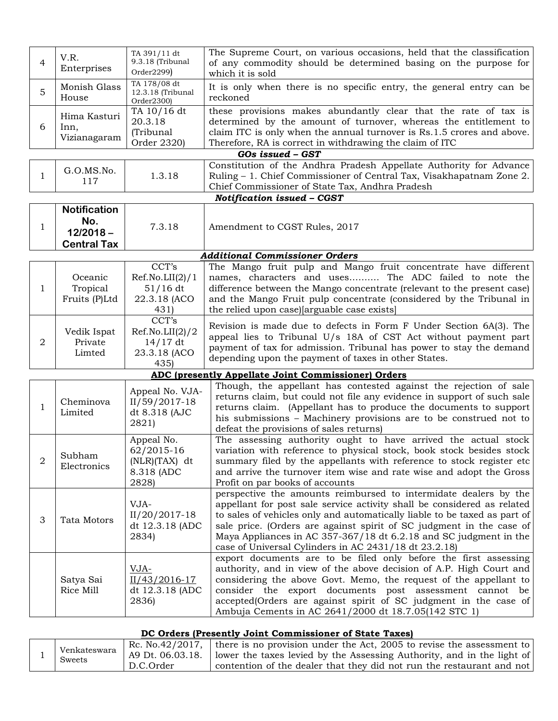| 4              | V.R.<br>Enterprises                                             | TA 391/11 dt<br>9.3.18 (Tribunal<br>Order2299)                     | The Supreme Court, on various occasions, held that the classification<br>of any commodity should be determined basing on the purpose for<br>which it is sold                                                                                                                                                                                                                                                                   |
|----------------|-----------------------------------------------------------------|--------------------------------------------------------------------|--------------------------------------------------------------------------------------------------------------------------------------------------------------------------------------------------------------------------------------------------------------------------------------------------------------------------------------------------------------------------------------------------------------------------------|
| 5              | Monish Glass<br>House                                           | TA 178/08 dt<br>12.3.18 (Tribunal<br>Order2300)                    | It is only when there is no specific entry, the general entry can be<br>reckoned                                                                                                                                                                                                                                                                                                                                               |
| 6              | Hima Kasturi<br>Inn,<br>Vizianagaram                            | TA 10/16 dt<br>20.3.18<br>(Tribunal<br>Order 2320)                 | these provisions makes abundantly clear that the rate of tax is<br>determined by the amount of turnover, whereas the entitlement to<br>claim ITC is only when the annual turnover is Rs.1.5 crores and above.<br>Therefore, RA is correct in withdrawing the claim of ITC                                                                                                                                                      |
|                |                                                                 |                                                                    | GOs issued - GST                                                                                                                                                                                                                                                                                                                                                                                                               |
| 1              | G.O.MS.No.<br>117                                               | 1.3.18                                                             | Constitution of the Andhra Pradesh Appellate Authority for Advance<br>Ruling - 1. Chief Commissioner of Central Tax, Visakhapatnam Zone 2.<br>Chief Commissioner of State Tax, Andhra Pradesh                                                                                                                                                                                                                                  |
|                |                                                                 |                                                                    | Notification issued - CGST                                                                                                                                                                                                                                                                                                                                                                                                     |
| $\mathbf{1}$   | <b>Notification</b><br>No.<br>$12/2018 -$<br><b>Central Tax</b> | 7.3.18                                                             | Amendment to CGST Rules, 2017                                                                                                                                                                                                                                                                                                                                                                                                  |
|                |                                                                 |                                                                    | <b>Additional Commissioner Orders</b>                                                                                                                                                                                                                                                                                                                                                                                          |
| 1              | Oceanic<br>Tropical<br>Fruits (P)Ltd                            | CCT's<br>Ref.No.LII(2)/1<br>51/16 dt<br>22.3.18 (ACO<br>431)       | The Mango fruit pulp and Mango fruit concentrate have different<br>names, characters and uses The ADC failed to note the<br>difference between the Mango concentrate (relevant to the present case)<br>and the Mango Fruit pulp concentrate (considered by the Tribunal in<br>the relied upon case) [arguable case exists]                                                                                                     |
| 2              | Vedik Ispat<br>Private<br>Limted                                | CCT's<br>Ref.No.LII(2)/2<br>$14/17$ dt<br>23.3.18 (ACO<br>435      | Revision is made due to defects in Form F Under Section 6A(3). The<br>appeal lies to Tribunal $U/s$ 18A of CST Act without payment part<br>payment of tax for admission. Tribunal has power to stay the demand<br>depending upon the payment of taxes in other States.                                                                                                                                                         |
|                |                                                                 |                                                                    | <b>ADC (presently Appellate Joint Commissioner) Orders</b>                                                                                                                                                                                                                                                                                                                                                                     |
| 1              | Cheminova<br>Limited                                            | Appeal No. VJA-<br>II/59/2017-18<br>dt 8.318 (AJC<br>2821)         | Though, the appellant has contested against the rejection of sale<br>returns claim, but could not file any evidence in support of such sale<br>returns claim. (Appellant has to produce the documents to support<br>his submissions – Machinery provisions are to be construed not to<br>defeat the provisions of sales returns)                                                                                               |
| $\overline{2}$ | Subham<br>Electronics                                           | Appeal No.<br>62/2015-16<br>$(NLR)(TAX)$ dt<br>8.318 (ADC<br>2828) | The assessing authority ought to have arrived the actual stock<br>variation with reference to physical stock, book stock besides stock<br>summary filed by the appellants with reference to stock register etc<br>and arrive the turnover item wise and rate wise and adopt the Gross<br>Profit on par books of accounts                                                                                                       |
| З              | Tata Motors                                                     | VJA-<br>II/20/2017-18<br>dt 12.3.18 (ADC<br>2834)                  | perspective the amounts reimbursed to intermidate dealers by the<br>appellant for post sale service activity shall be considered as related<br>to sales of vehicles only and automatically liable to be taxed as part of<br>sale price. (Orders are against spirit of SC judgment in the case of<br>Maya Appliances in AC 357-367/18 dt 6.2.18 and SC judgment in the<br>case of Universal Cylinders in AC 2431/18 dt 23.2.18) |
|                | Satya Sai<br>Rice Mill                                          | VJA-<br>II/43/2016-17<br>dt 12.3.18 (ADC<br>2836)                  | export documents are to be filed only before the first assessing<br>authority, and in view of the above decision of A.P. High Court and<br>considering the above Govt. Memo, the request of the appellant to<br>consider the export documents post assessment cannot be<br>accepted(Orders are against spirit of SC judgment in the case of<br>Ambuja Cements in AC 2641/2000 dt 18.7.05(142 STC 1)                            |

## **DC Orders** (Presently Joint Commissioner of State Taxes)

| Venkateswara | Rc. No.42/2017. $\vert$<br>A9 Dt. 06.03.18. | there is no provision under the Act, 2005 to revise the assessment to<br>lower the taxes levied by the Assessing Authority, and in the light of |  |
|--------------|---------------------------------------------|-------------------------------------------------------------------------------------------------------------------------------------------------|--|
| Sweets       | D.C.Order                                   | $^{\prime}$ contention of the dealer that they did not run the restaurant and not $\vert$                                                       |  |